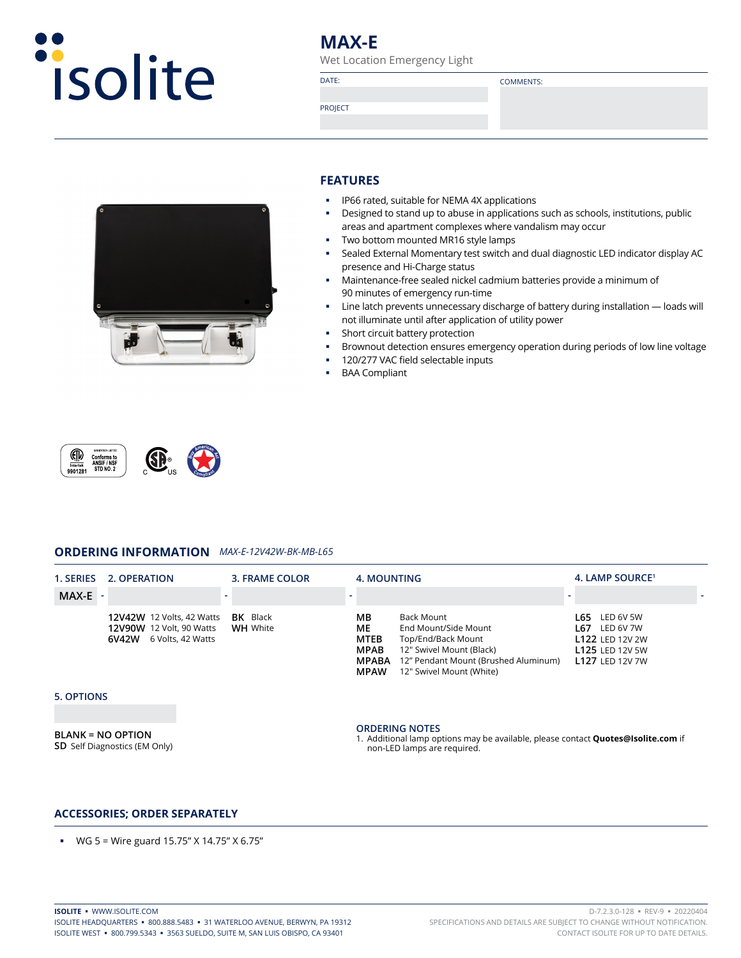

# **MAX-E**

Wet Location Emergency Light

PROJECT

DATE: COMMENTS:



# **FEATURES**

- **IP66 rated, suitable for NEMA 4X applications**
- **-** Designed to stand up to abuse in applications such as schools, institutions, public areas and apartment complexes where vandalism may occur
- **Two bottom mounted MR16 style lamps**
- Sealed External Momentary test switch and dual diagnostic LED indicator display AC presence and Hi-Charge status
- Maintenance-free sealed nickel cadmium batteries provide a minimum of 90 minutes of emergency run-time
- Line latch prevents unnecessary discharge of battery during installation loads will not illuminate until after application of utility power
- Short circuit battery protection
- **Brownout detection ensures emergency operation during periods of low line voltage**
- 120/277 VAC field selectable inputs
- **BAA Compliant**



# **ORDERING INFORMATION** *MAX-E-12V42W-BK-MB-L65*

| 1. SERIES | 2. OPERATION                                                                                        | 3. FRAME COLOR  | 4. MOUNTING                                     |                                                                                                                              | 4. LAMP SOURCE <sup>1</sup>                                                                           |  |
|-----------|-----------------------------------------------------------------------------------------------------|-----------------|-------------------------------------------------|------------------------------------------------------------------------------------------------------------------------------|-------------------------------------------------------------------------------------------------------|--|
| $MAX-E$ - |                                                                                                     |                 |                                                 |                                                                                                                              |                                                                                                       |  |
|           | 12V42W 12 Volts, 42 Watts BK Black<br><b>12V90W</b> 12 Volt, 90 Watts<br>6 Volts, 42 Watts<br>6V42W | <b>WH</b> White | ΜВ<br>МE<br>MTEB<br><b>MPAB</b><br><b>MPABA</b> | Back Mount<br>End Mount/Side Mount<br>Top/End/Back Mount<br>12" Swivel Mount (Black)<br>12" Pendant Mount (Brushed Aluminum) | LED 6V 5W<br>L65.<br>LED 6V 7W<br>L67<br>L122 LED 12V 2W<br><b>L125 LED 12V 5W</b><br>L127 LED 12V 7W |  |

## **5. OPTIONS**

**BLANK = NO OPTION SD** Self Diagnostics (EM Only)

### **ORDERING NOTES**

**MPAW** 12" Swivel Mount (White)

1. Additional lamp options may be available, please contact **Quotes@Isolite.com** if non-LED lamps are required.

## **ACCESSORIES; ORDER SEPARATELY**

WG 5 = Wire guard 15.75" X 14.75" X 6.75"